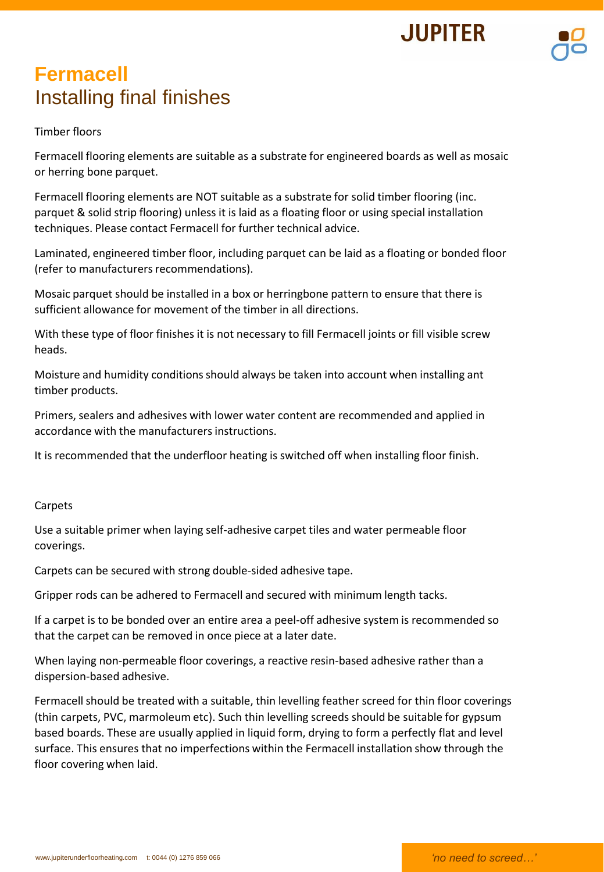## **Fermacell** Installing final finishes

## Timber floors

Fermacell flooring elements are suitable as a substrate for engineered boards as well as mosaic or herring bone parquet.

Fermacell flooring elements are NOT suitable as a substrate for solid timber flooring (inc. parquet & solid strip flooring) unless it is laid as a floating floor or using special installation techniques. Please contact Fermacell for further technical advice.

Laminated, engineered timber floor, including parquet can be laid as a floating or bonded floor (refer to manufacturers recommendations).

Mosaic parquet should be installed in a box or herringbone pattern to ensure that there is sufficient allowance for movement of the timber in all directions.

With these type of floor finishes it is not necessary to fill Fermacell joints or fill visible screw heads.

Moisture and humidity conditions should always be taken into account when installing ant timber products.

Primers, sealers and adhesives with lower water content are recommended and applied in accordance with the manufacturers instructions.

It is recommended that the underfloor heating is switched off when installing floor finish.

## **Carpets**

Use a suitable primer when laying self-adhesive carpet tiles and water permeable floor coverings.

Carpets can be secured with strong double-sided adhesive tape.

Gripper rods can be adhered to Fermacell and secured with minimum length tacks.

If a carpet is to be bonded over an entire area a peel-off adhesive system is recommended so that the carpet can be removed in once piece at a later date.

When laying non-permeable floor coverings, a reactive resin-based adhesive rather than a dispersion-based adhesive.

Fermacell should be treated with a suitable, thin levelling feather screed for thin floor coverings (thin carpets, PVC, marmoleum etc). Such thin levelling screeds should be suitable for gypsum based boards. These are usually applied in liquid form, drying to form a perfectly flat and level surface. This ensures that no imperfections within the Fermacell installation show through the floor covering when laid.